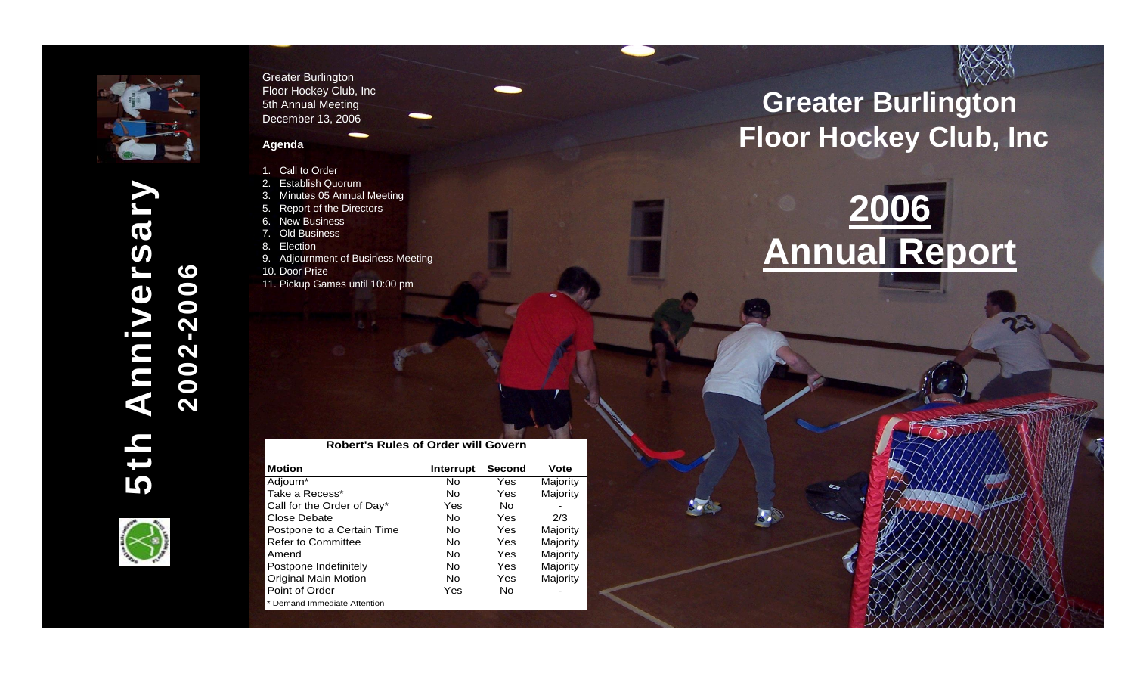

Greater Burlington Floor Hockey Club, Inc 5th Annual Meeting December 13, 2006

#### **Agenda**

- 1. Call to Order
- 2. Establish Quorum
- 3. Minutes 05 Annual Meeting
- 5. Report of the Directors
- 6. New Business
- 7. Old Business
- 8. Election
- 9. Adjournment of Business Meeting
- 10. Door Prize
- 11. Pickup Games until 10:00 pm

## **Greater Burlington Floor Hockey Club, Inc**

# **2006 Annual Report**

#### **Robert's Rules of Order will Govern**

| <b>Motion</b>                | Interrupt | <b>Second</b> | Vote     |
|------------------------------|-----------|---------------|----------|
| Adjourn*                     | N٥        | Yes           | Majority |
| Take a Recess*               | N٥        | Yes           | Majority |
| Call for the Order of Day*   | Yes       | Nο            |          |
| Close Debate                 | N٥        | Yes           | 2/3      |
| Postpone to a Certain Time   | N٥        | Yes           | Majority |
| <b>Refer to Committee</b>    | Nο        | Yes           | Majority |
| Amend                        | Nο        | Yes           | Majority |
| Postpone Indefinitely        | Nο        | Yes           | Majority |
| <b>Original Main Motion</b>  | Nο        | Yes           | Majority |
| Point of Order               | Yes       | Nο            |          |
| * Demand Immediate Attention |           |               |          |